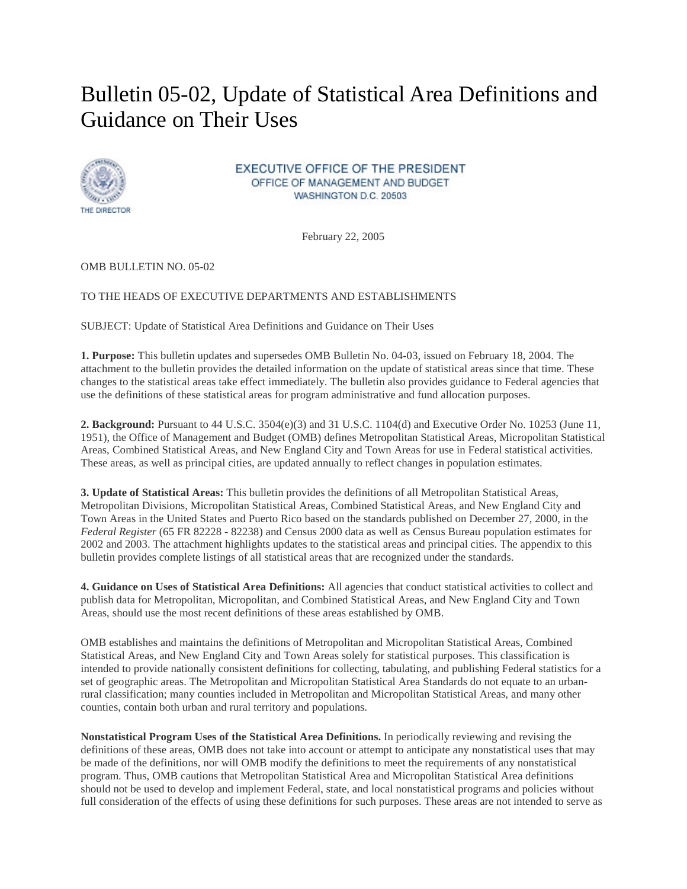## Bulletin 05-02, Update of Statistical Area Definitions and Guidance on Their Uses



**EXECUTIVE OFFICE OF THE PRESIDENT** OFFICE OF MANAGEMENT AND BUDGET. WASHINGTON D.C. 20503

February 22, 2005

OMB BULLETIN NO. 05-02

## TO THE HEADS OF EXECUTIVE DEPARTMENTS AND ESTABLISHMENTS

SUBJECT: Update of Statistical Area Definitions and Guidance on Their Uses

**1. Purpose:** This bulletin updates and supersedes OMB Bulletin No. 04-03, issued on February 18, 2004. The attachment to the bulletin provides the detailed information on the update of statistical areas since that time. These changes to the statistical areas take effect immediately. The bulletin also provides guidance to Federal agencies that use the definitions of these statistical areas for program administrative and fund allocation purposes.

**2. Background:** Pursuant to 44 U.S.C. 3504(e)(3) and 31 U.S.C. 1104(d) and Executive Order No. 10253 (June 11, 1951), the Office of Management and Budget (OMB) defines Metropolitan Statistical Areas, Micropolitan Statistical Areas, Combined Statistical Areas, and New England City and Town Areas for use in Federal statistical activities. These areas, as well as principal cities, are updated annually to reflect changes in population estimates.

**3. Update of Statistical Areas:** This bulletin provides the definitions of all Metropolitan Statistical Areas, Metropolitan Divisions, Micropolitan Statistical Areas, Combined Statistical Areas, and New England City and Town Areas in the United States and Puerto Rico based on the standards published on December 27, 2000, in the *Federal Register* (65 FR 82228 - 82238) and Census 2000 data as well as Census Bureau population estimates for 2002 and 2003. The attachment highlights updates to the statistical areas and principal cities. The appendix to this bulletin provides complete listings of all statistical areas that are recognized under the standards.

**4. Guidance on Uses of Statistical Area Definitions:** All agencies that conduct statistical activities to collect and publish data for Metropolitan, Micropolitan, and Combined Statistical Areas, and New England City and Town Areas, should use the most recent definitions of these areas established by OMB.

OMB establishes and maintains the definitions of Metropolitan and Micropolitan Statistical Areas, Combined Statistical Areas, and New England City and Town Areas solely for statistical purposes. This classification is intended to provide nationally consistent definitions for collecting, tabulating, and publishing Federal statistics for a set of geographic areas. The Metropolitan and Micropolitan Statistical Area Standards do not equate to an urbanrural classification; many counties included in Metropolitan and Micropolitan Statistical Areas, and many other counties, contain both urban and rural territory and populations.

**Nonstatistical Program Uses of the Statistical Area Definitions.** In periodically reviewing and revising the definitions of these areas, OMB does not take into account or attempt to anticipate any nonstatistical uses that may be made of the definitions, nor will OMB modify the definitions to meet the requirements of any nonstatistical program. Thus, OMB cautions that Metropolitan Statistical Area and Micropolitan Statistical Area definitions should not be used to develop and implement Federal, state, and local nonstatistical programs and policies without full consideration of the effects of using these definitions for such purposes. These areas are not intended to serve as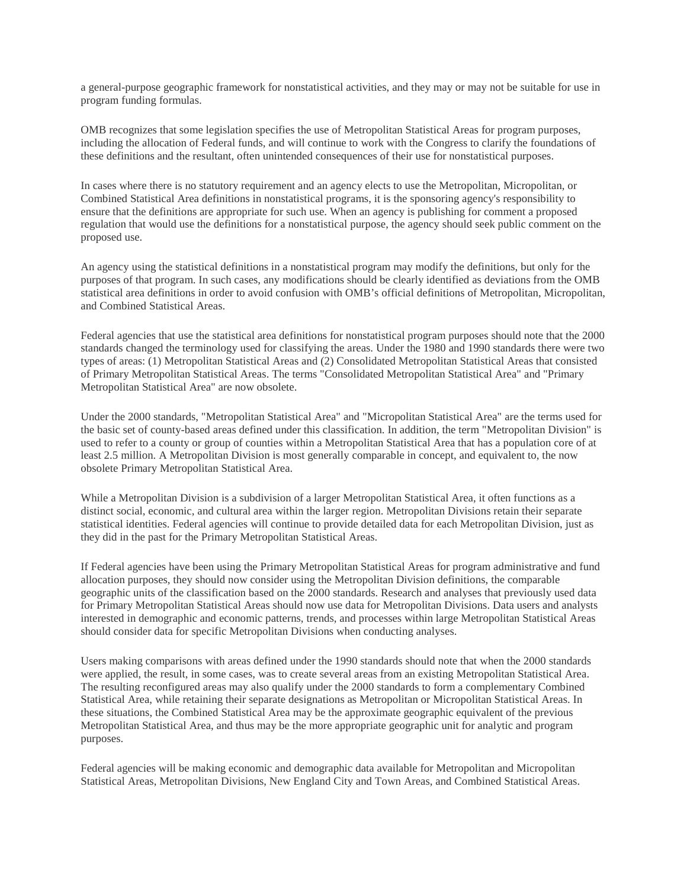a general-purpose geographic framework for nonstatistical activities, and they may or may not be suitable for use in program funding formulas.

OMB recognizes that some legislation specifies the use of Metropolitan Statistical Areas for program purposes, including the allocation of Federal funds, and will continue to work with the Congress to clarify the foundations of these definitions and the resultant, often unintended consequences of their use for nonstatistical purposes.

In cases where there is no statutory requirement and an agency elects to use the Metropolitan, Micropolitan, or Combined Statistical Area definitions in nonstatistical programs, it is the sponsoring agency's responsibility to ensure that the definitions are appropriate for such use. When an agency is publishing for comment a proposed regulation that would use the definitions for a nonstatistical purpose, the agency should seek public comment on the proposed use.

An agency using the statistical definitions in a nonstatistical program may modify the definitions, but only for the purposes of that program. In such cases, any modifications should be clearly identified as deviations from the OMB statistical area definitions in order to avoid confusion with OMB's official definitions of Metropolitan, Micropolitan, and Combined Statistical Areas.

Federal agencies that use the statistical area definitions for nonstatistical program purposes should note that the 2000 standards changed the terminology used for classifying the areas. Under the 1980 and 1990 standards there were two types of areas: (1) Metropolitan Statistical Areas and (2) Consolidated Metropolitan Statistical Areas that consisted of Primary Metropolitan Statistical Areas. The terms "Consolidated Metropolitan Statistical Area" and "Primary Metropolitan Statistical Area" are now obsolete.

Under the 2000 standards, "Metropolitan Statistical Area" and "Micropolitan Statistical Area" are the terms used for the basic set of county-based areas defined under this classification. In addition, the term "Metropolitan Division" is used to refer to a county or group of counties within a Metropolitan Statistical Area that has a population core of at least 2.5 million. A Metropolitan Division is most generally comparable in concept, and equivalent to, the now obsolete Primary Metropolitan Statistical Area.

While a Metropolitan Division is a subdivision of a larger Metropolitan Statistical Area, it often functions as a distinct social, economic, and cultural area within the larger region. Metropolitan Divisions retain their separate statistical identities. Federal agencies will continue to provide detailed data for each Metropolitan Division, just as they did in the past for the Primary Metropolitan Statistical Areas.

If Federal agencies have been using the Primary Metropolitan Statistical Areas for program administrative and fund allocation purposes, they should now consider using the Metropolitan Division definitions, the comparable geographic units of the classification based on the 2000 standards. Research and analyses that previously used data for Primary Metropolitan Statistical Areas should now use data for Metropolitan Divisions. Data users and analysts interested in demographic and economic patterns, trends, and processes within large Metropolitan Statistical Areas should consider data for specific Metropolitan Divisions when conducting analyses.

Users making comparisons with areas defined under the 1990 standards should note that when the 2000 standards were applied, the result, in some cases, was to create several areas from an existing Metropolitan Statistical Area. The resulting reconfigured areas may also qualify under the 2000 standards to form a complementary Combined Statistical Area, while retaining their separate designations as Metropolitan or Micropolitan Statistical Areas. In these situations, the Combined Statistical Area may be the approximate geographic equivalent of the previous Metropolitan Statistical Area, and thus may be the more appropriate geographic unit for analytic and program purposes.

Federal agencies will be making economic and demographic data available for Metropolitan and Micropolitan Statistical Areas, Metropolitan Divisions, New England City and Town Areas, and Combined Statistical Areas.